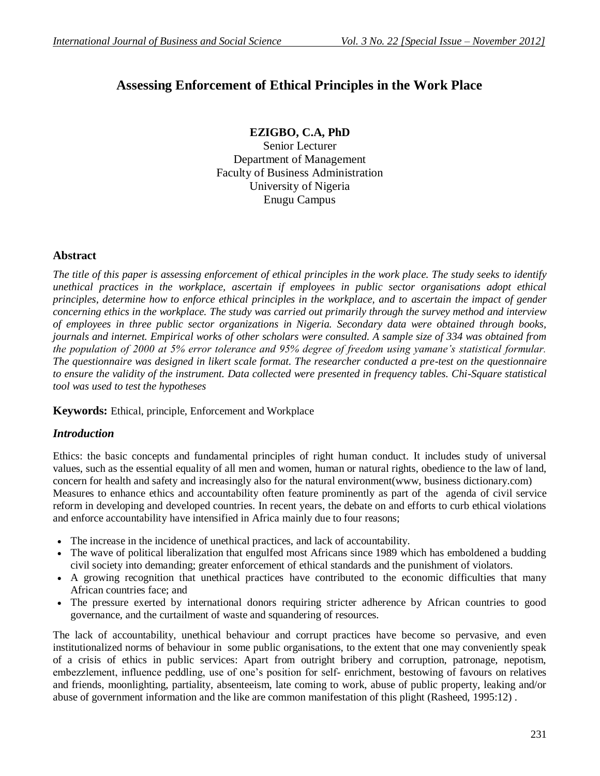# **Assessing Enforcement of Ethical Principles in the Work Place**

# **EZIGBO, C.A, PhD**

Senior Lecturer Department of Management Faculty of Business Administration University of Nigeria Enugu Campus

# **Abstract**

*The title of this paper is assessing enforcement of ethical principles in the work place. The study seeks to identify unethical practices in the workplace, ascertain if employees in public sector organisations adopt ethical principles, determine how to enforce ethical principles in the workplace, and to ascertain the impact of gender concerning ethics in the workplace. The study was carried out primarily through the survey method and interview of employees in three public sector organizations in Nigeria. Secondary data were obtained through books, journals and internet. Empirical works of other scholars were consulted. A sample size of 334 was obtained from the population of 2000 at 5% error tolerance and 95% degree of freedom using yamane's statistical formular. The questionnaire was designed in likert scale format. The researcher conducted a pre-test on the questionnaire to ensure the validity of the instrument. Data collected were presented in frequency tables. Chi-Square statistical tool was used to test the hypotheses*

**Keywords:** Ethical, principle, Enforcement and Workplace

# *Introduction*

Ethics: the basic concepts and fundamental principles of right human conduct. It includes study of universal values, such as the essential equality of all men and women, human or natural rights, obedience to the law of land, concern for health and safety and increasingly also for the natural environment(www, business dictionary.com) Measures to enhance ethics and accountability often feature prominently as part of the agenda of civil service reform in developing and developed countries. In recent years, the debate on and efforts to curb ethical violations and enforce accountability have intensified in Africa mainly due to four reasons;

- The increase in the incidence of unethical practices, and lack of accountability.
- The wave of political liberalization that engulfed most Africans since 1989 which has emboldened a budding civil society into demanding; greater enforcement of ethical standards and the punishment of violators.
- A growing recognition that unethical practices have contributed to the economic difficulties that many African countries face; and
- The pressure exerted by international donors requiring stricter adherence by African countries to good governance, and the curtailment of waste and squandering of resources.

The lack of accountability, unethical behaviour and corrupt practices have become so pervasive, and even institutionalized norms of behaviour in some public organisations, to the extent that one may conveniently speak of a crisis of ethics in public services: Apart from outright bribery and corruption, patronage, nepotism, embezzlement, influence peddling, use of one's position for self- enrichment, bestowing of favours on relatives and friends, moonlighting, partiality, absenteeism, late coming to work, abuse of public property, leaking and/or abuse of government information and the like are common manifestation of this plight (Rasheed, 1995:12) .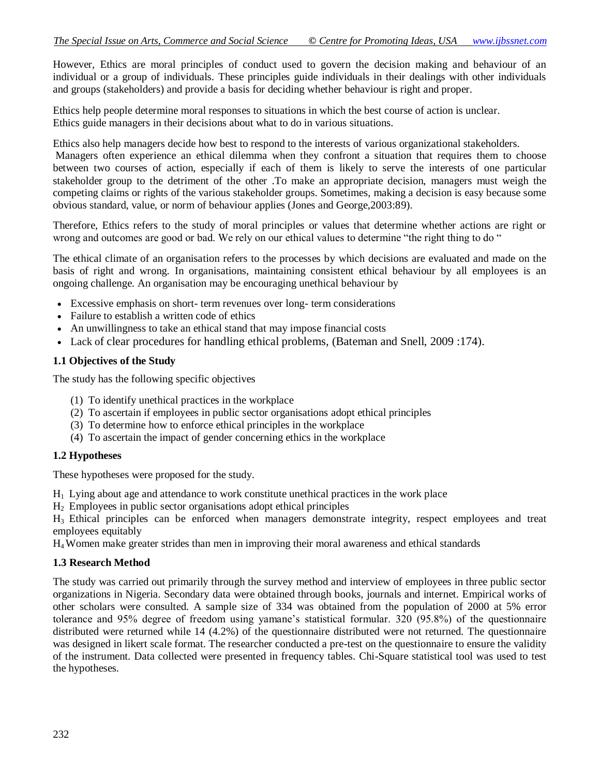However, Ethics are moral principles of conduct used to govern the decision making and behaviour of an individual or a group of individuals. These principles guide individuals in their dealings with other individuals and groups (stakeholders) and provide a basis for deciding whether behaviour is right and proper.

Ethics help people determine moral responses to situations in which the best course of action is unclear. Ethics guide managers in their decisions about what to do in various situations.

Ethics also help managers decide how best to respond to the interests of various organizational stakeholders.

Managers often experience an ethical dilemma when they confront a situation that requires them to choose between two courses of action, especially if each of them is likely to serve the interests of one particular stakeholder group to the detriment of the other .To make an appropriate decision, managers must weigh the competing claims or rights of the various stakeholder groups. Sometimes, making a decision is easy because some obvious standard, value, or norm of behaviour applies (Jones and George,2003:89).

Therefore, Ethics refers to the study of moral principles or values that determine whether actions are right or wrong and outcomes are good or bad. We rely on our ethical values to determine "the right thing to do "

The ethical climate of an organisation refers to the processes by which decisions are evaluated and made on the basis of right and wrong. In organisations, maintaining consistent ethical behaviour by all employees is an ongoing challenge. An organisation may be encouraging unethical behaviour by

- Excessive emphasis on short- term revenues over long- term considerations
- Failure to establish a written code of ethics
- An unwillingness to take an ethical stand that may impose financial costs
- Lack of clear procedures for handling ethical problems, (Bateman and Snell, 2009 :174).

### **1.1 Objectives of the Study**

The study has the following specific objectives

- (1) To identify unethical practices in the workplace
- (2) To ascertain if employees in public sector organisations adopt ethical principles
- (3) To determine how to enforce ethical principles in the workplace
- (4) To ascertain the impact of gender concerning ethics in the workplace

### **1.2 Hypotheses**

These hypotheses were proposed for the study.

 $H<sub>1</sub>$  Lying about age and attendance to work constitute unethical practices in the work place

H2 Employees in public sector organisations adopt ethical principles

H3 Ethical principles can be enforced when managers demonstrate integrity, respect employees and treat employees equitably

H4 Women make greater strides than men in improving their moral awareness and ethical standards

# **1.3 Research Method**

The study was carried out primarily through the survey method and interview of employees in three public sector organizations in Nigeria. Secondary data were obtained through books, journals and internet. Empirical works of other scholars were consulted. A sample size of 334 was obtained from the population of 2000 at 5% error tolerance and 95% degree of freedom using yamane's statistical formular. 320 (95.8%) of the questionnaire distributed were returned while 14 (4.2%) of the questionnaire distributed were not returned. The questionnaire was designed in likert scale format. The researcher conducted a pre-test on the questionnaire to ensure the validity of the instrument. Data collected were presented in frequency tables. Chi-Square statistical tool was used to test the hypotheses.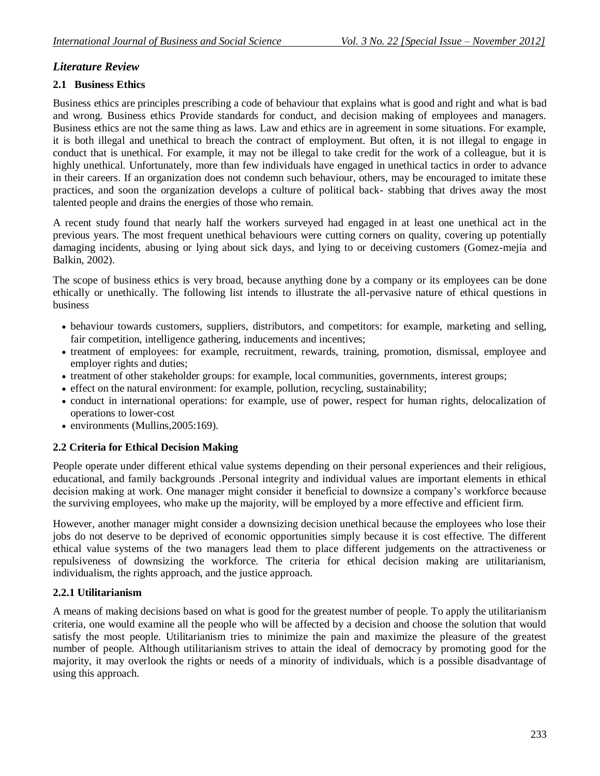# *Literature Review*

# **2.1 Business Ethics**

Business ethics are principles prescribing a code of behaviour that explains what is good and right and what is bad and wrong. Business ethics Provide standards for conduct, and decision making of employees and managers. Business ethics are not the same thing as laws. Law and ethics are in agreement in some situations. For example, it is both illegal and unethical to breach the contract of employment. But often, it is not illegal to engage in conduct that is unethical. For example, it may not be illegal to take credit for the work of a colleague, but it is highly unethical. Unfortunately, more than few individuals have engaged in unethical tactics in order to advance in their careers. If an organization does not condemn such behaviour, others, may be encouraged to imitate these practices, and soon the organization develops a culture of political back- stabbing that drives away the most talented people and drains the energies of those who remain.

A recent study found that nearly half the workers surveyed had engaged in at least one unethical act in the previous years. The most frequent unethical behaviours were cutting corners on quality, covering up potentially damaging incidents, abusing or lying about sick days, and lying to or deceiving customers (Gomez-mejia and Balkin, 2002).

The scope of business ethics is very broad, because anything done by a company or its employees can be done ethically or unethically. The following list intends to illustrate the all-pervasive nature of ethical questions in business

- behaviour towards customers, suppliers, distributors, and competitors: for example, marketing and selling, fair competition, intelligence gathering, inducements and incentives;
- treatment of employees: for example, recruitment, rewards, training, promotion, dismissal, employee and employer rights and duties;
- treatment of other stakeholder groups: for example, local communities, governments, interest groups;
- effect on the natural environment: for example, pollution, recycling, sustainability;
- conduct in international operations: for example, use of power, respect for human rights, delocalization of operations to lower-cost
- environments (Mullins, 2005:169).

# **2.2 Criteria for Ethical Decision Making**

People operate under different ethical value systems depending on their personal experiences and their religious, educational, and family backgrounds .Personal integrity and individual values are important elements in ethical decision making at work. One manager might consider it beneficial to downsize a company's workforce because the surviving employees, who make up the majority, will be employed by a more effective and efficient firm.

However, another manager might consider a downsizing decision unethical because the employees who lose their jobs do not deserve to be deprived of economic opportunities simply because it is cost effective. The different ethical value systems of the two managers lead them to place different judgements on the attractiveness or repulsiveness of downsizing the workforce. The criteria for ethical decision making are utilitarianism, individualism, the rights approach, and the justice approach.

### **2.2.1 Utilitarianism**

A means of making decisions based on what is good for the greatest number of people. To apply the utilitarianism criteria, one would examine all the people who will be affected by a decision and choose the solution that would satisfy the most people. Utilitarianism tries to minimize the pain and maximize the pleasure of the greatest number of people. Although utilitarianism strives to attain the ideal of democracy by promoting good for the majority, it may overlook the rights or needs of a minority of individuals, which is a possible disadvantage of using this approach.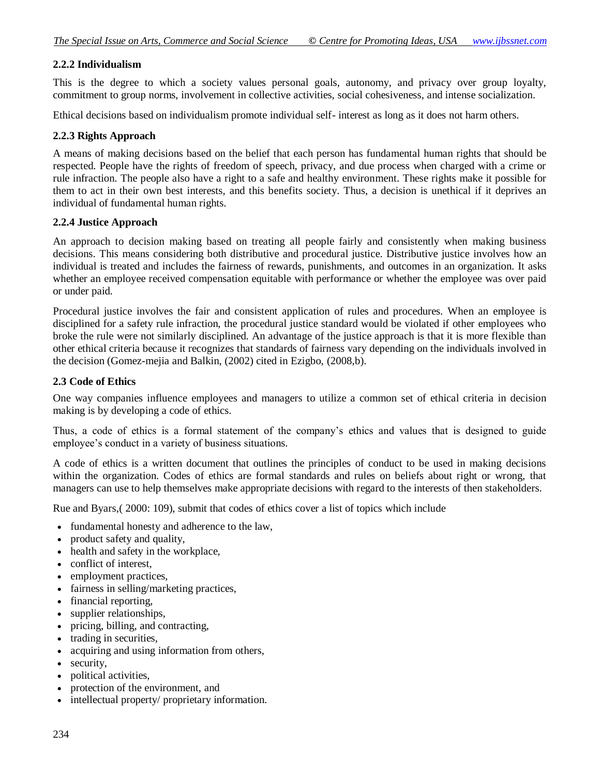### **2.2.2 Individualism**

This is the degree to which a society values personal goals, autonomy, and privacy over group loyalty, commitment to group norms, involvement in collective activities, social cohesiveness, and intense socialization.

Ethical decisions based on individualism promote individual self- interest as long as it does not harm others.

### **2.2.3 Rights Approach**

A means of making decisions based on the belief that each person has fundamental human rights that should be respected. People have the rights of freedom of speech, privacy, and due process when charged with a crime or rule infraction. The people also have a right to a safe and healthy environment. These rights make it possible for them to act in their own best interests, and this benefits society. Thus, a decision is unethical if it deprives an individual of fundamental human rights.

#### **2.2.4 Justice Approach**

An approach to decision making based on treating all people fairly and consistently when making business decisions. This means considering both distributive and procedural justice. Distributive justice involves how an individual is treated and includes the fairness of rewards, punishments, and outcomes in an organization. It asks whether an employee received compensation equitable with performance or whether the employee was over paid or under paid.

Procedural justice involves the fair and consistent application of rules and procedures. When an employee is disciplined for a safety rule infraction, the procedural justice standard would be violated if other employees who broke the rule were not similarly disciplined. An advantage of the justice approach is that it is more flexible than other ethical criteria because it recognizes that standards of fairness vary depending on the individuals involved in the decision (Gomez-mejia and Balkin, (2002) cited in Ezigbo, (2008,b).

### **2.3 Code of Ethics**

One way companies influence employees and managers to utilize a common set of ethical criteria in decision making is by developing a code of ethics.

Thus, a code of ethics is a formal statement of the company's ethics and values that is designed to guide employee's conduct in a variety of business situations.

A code of ethics is a written document that outlines the principles of conduct to be used in making decisions within the organization. Codes of ethics are formal standards and rules on beliefs about right or wrong, that managers can use to help themselves make appropriate decisions with regard to the interests of then stakeholders.

Rue and Byars,( 2000: 109), submit that codes of ethics cover a list of topics which include

- fundamental honesty and adherence to the law,
- product safety and quality,
- health and safety in the workplace,
- conflict of interest.
- employment practices,
- fairness in selling/marketing practices,
- financial reporting,
- supplier relationships,
- pricing, billing, and contracting,
- trading in securities,
- acquiring and using information from others,
- security,
- political activities.
- protection of the environment, and
- intellectual property/ proprietary information.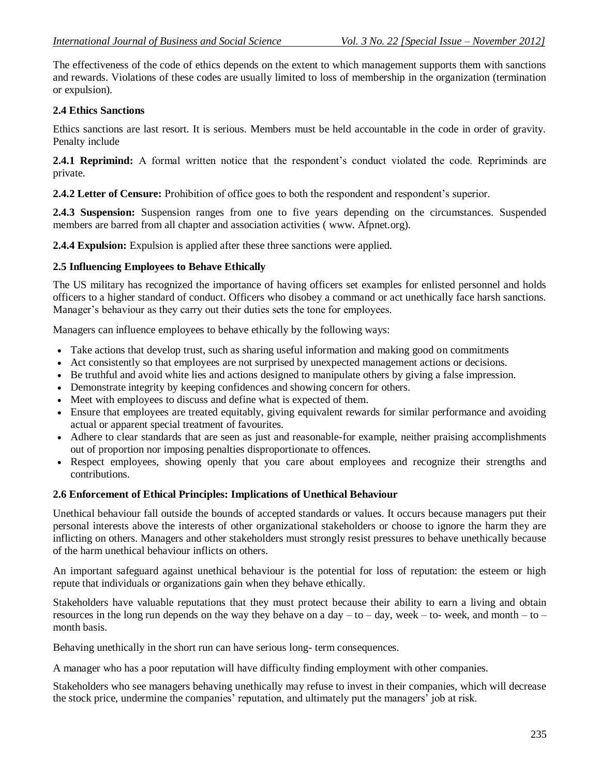The effectiveness of the code of ethics depends on the extent to which management supports them with sanctions and rewards. Violations of these codes are usually limited to loss of membership in the organization (termination or expulsion).

### **2.4 Ethics Sanctions**

Ethics sanctions are last resort. It is serious. Members must be held accountable in the code in order of gravity. Penalty include

**2.4.1 Reprimind:** A formal written notice that the respondent's conduct violated the code. Repriminds are private.

**2.4.2 Letter of Censure:** Prohibition of office goes to both the respondent and respondent's superior.

**2.4.3 Suspension:** Suspension ranges from one to five years depending on the circumstances. Suspended members are barred from all chapter and association activities ( www. Afpnet.org).

**2.4.4 Expulsion:** Expulsion is applied after these three sanctions were applied.

### **2.5 Influencing Employees to Behave Ethically**

The US military has recognized the importance of having officers set examples for enlisted personnel and holds officers to a higher standard of conduct. Officers who disobey a command or act unethically face harsh sanctions. Manager's behaviour as they carry out their duties sets the tone for employees.

Managers can influence employees to behave ethically by the following ways:

- Take actions that develop trust, such as sharing useful information and making good on commitments
- Act consistently so that employees are not surprised by unexpected management actions or decisions.
- Be truthful and avoid white lies and actions designed to manipulate others by giving a false impression.
- Demonstrate integrity by keeping confidences and showing concern for others.
- Meet with employees to discuss and define what is expected of them.
- Ensure that employees are treated equitably, giving equivalent rewards for similar performance and avoiding actual or apparent special treatment of favourites.
- Adhere to clear standards that are seen as just and reasonable-for example, neither praising accomplishments out of proportion nor imposing penalties disproportionate to offences.
- Respect employees, showing openly that you care about employees and recognize their strengths and contributions.

### **2.6 Enforcement of Ethical Principles: Implications of Unethical Behaviour**

Unethical behaviour fall outside the bounds of accepted standards or values. It occurs because managers put their personal interests above the interests of other organizational stakeholders or choose to ignore the harm they are inflicting on others. Managers and other stakeholders must strongly resist pressures to behave unethically because of the harm unethical behaviour inflicts on others.

An important safeguard against unethical behaviour is the potential for loss of reputation: the esteem or high repute that individuals or organizations gain when they behave ethically.

Stakeholders have valuable reputations that they must protect because their ability to earn a living and obtain resources in the long run depends on the way they behave on a day – to – day, week – to- week, and month – to – month basis.

Behaving unethically in the short run can have serious long- term consequences.

A manager who has a poor reputation will have difficulty finding employment with other companies.

Stakeholders who see managers behaving unethically may refuse to invest in their companies, which will decrease the stock price, undermine the companies' reputation, and ultimately put the managers' job at risk.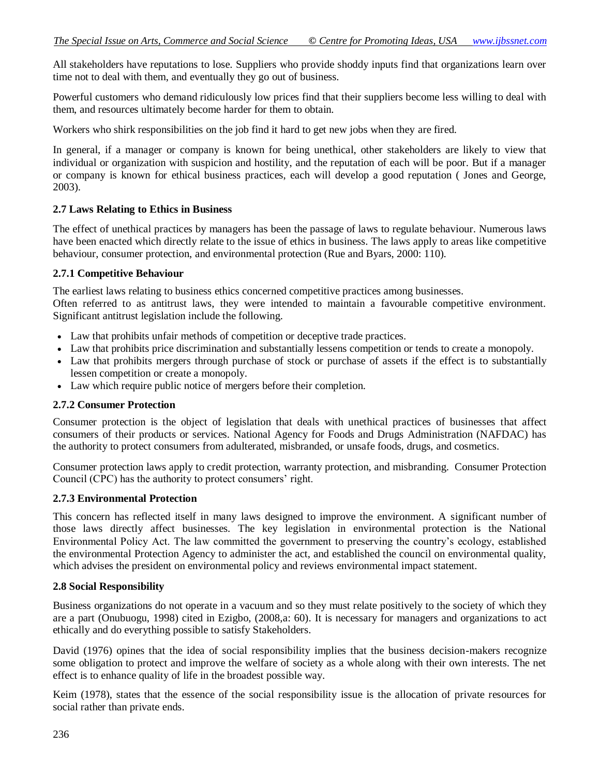All stakeholders have reputations to lose. Suppliers who provide shoddy inputs find that organizations learn over time not to deal with them, and eventually they go out of business.

Powerful customers who demand ridiculously low prices find that their suppliers become less willing to deal with them, and resources ultimately become harder for them to obtain.

Workers who shirk responsibilities on the job find it hard to get new jobs when they are fired.

In general, if a manager or company is known for being unethical, other stakeholders are likely to view that individual or organization with suspicion and hostility, and the reputation of each will be poor. But if a manager or company is known for ethical business practices, each will develop a good reputation ( Jones and George, 2003).

### **2.7 Laws Relating to Ethics in Business**

The effect of unethical practices by managers has been the passage of laws to regulate behaviour. Numerous laws have been enacted which directly relate to the issue of ethics in business. The laws apply to areas like competitive behaviour, consumer protection, and environmental protection (Rue and Byars, 2000: 110).

#### **2.7.1 Competitive Behaviour**

The earliest laws relating to business ethics concerned competitive practices among businesses.

Often referred to as antitrust laws, they were intended to maintain a favourable competitive environment. Significant antitrust legislation include the following.

- Law that prohibits unfair methods of competition or deceptive trade practices.
- Law that prohibits price discrimination and substantially lessens competition or tends to create a monopoly.
- Law that prohibits mergers through purchase of stock or purchase of assets if the effect is to substantially lessen competition or create a monopoly.
- Law which require public notice of mergers before their completion.

### **2.7.2 Consumer Protection**

Consumer protection is the object of legislation that deals with unethical practices of businesses that affect consumers of their products or services. National Agency for Foods and Drugs Administration (NAFDAC) has the authority to protect consumers from adulterated, misbranded, or unsafe foods, drugs, and cosmetics.

Consumer protection laws apply to credit protection, warranty protection, and misbranding. Consumer Protection Council (CPC) has the authority to protect consumers' right.

### **2.7.3 Environmental Protection**

This concern has reflected itself in many laws designed to improve the environment. A significant number of those laws directly affect businesses. The key legislation in environmental protection is the National Environmental Policy Act. The law committed the government to preserving the country's ecology, established the environmental Protection Agency to administer the act, and established the council on environmental quality, which advises the president on environmental policy and reviews environmental impact statement.

### **2.8 Social Responsibility**

Business organizations do not operate in a vacuum and so they must relate positively to the society of which they are a part (Onubuogu, 1998) cited in Ezigbo, (2008,a: 60). It is necessary for managers and organizations to act ethically and do everything possible to satisfy Stakeholders.

David (1976) opines that the idea of social responsibility implies that the business decision-makers recognize some obligation to protect and improve the welfare of society as a whole along with their own interests. The net effect is to enhance quality of life in the broadest possible way.

Keim (1978), states that the essence of the social responsibility issue is the allocation of private resources for social rather than private ends.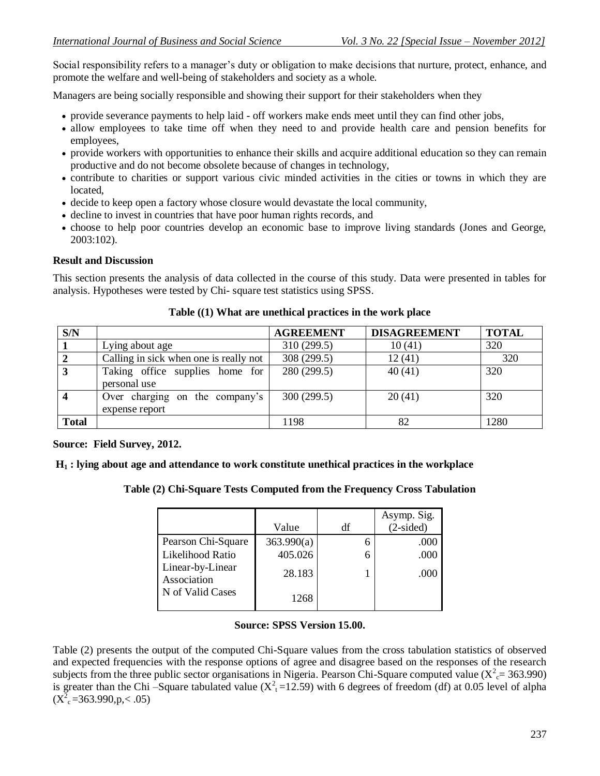Social responsibility refers to a manager's duty or obligation to make decisions that nurture, protect, enhance, and promote the welfare and well-being of stakeholders and society as a whole.

Managers are being socially responsible and showing their support for their stakeholders when they

- provide severance payments to help laid off workers make ends meet until they can find other jobs,
- allow employees to take time off when they need to and provide health care and pension benefits for employees,
- provide workers with opportunities to enhance their skills and acquire additional education so they can remain productive and do not become obsolete because of changes in technology,
- contribute to charities or support various civic minded activities in the cities or towns in which they are located,
- decide to keep open a factory whose closure would devastate the local community,
- decline to invest in countries that have poor human rights records, and
- choose to help poor countries develop an economic base to improve living standards (Jones and George, 2003:102).

# **Result and Discussion**

This section presents the analysis of data collected in the course of this study. Data were presented in tables for analysis. Hypotheses were tested by Chi- square test statistics using SPSS.

| S/N          |                                                  | <b>AGREEMENT</b> | <b>DISAGREEMENT</b> | <b>TOTAL</b> |
|--------------|--------------------------------------------------|------------------|---------------------|--------------|
|              | Lying about age                                  | 310 (299.5)      | 10(41)              | 320          |
|              | Calling in sick when one is really not           | 308 (299.5)      | 12(41)              | 320          |
| 3            | Taking office supplies home for<br>personal use  | 280 (299.5)      | 40(41)              | 320          |
|              | Over charging on the company's<br>expense report | 300 (299.5)      | 20(41)              | 320          |
| <b>Total</b> |                                                  | 1198             | 82                  | 1280         |

# **Table ((1) What are unethical practices in the work place**

# **Source: Field Survey, 2012.**

# **H<sup>1</sup> : lying about age and attendance to work constitute unethical practices in the workplace**

# **Table (2) Chi-Square Tests Computed from the Frequency Cross Tabulation**

|                                 | Value      | df | Asymp. Sig.<br>$(2-sided)$ |
|---------------------------------|------------|----|----------------------------|
| Pearson Chi-Square              | 363.990(a) |    | .000                       |
| Likelihood Ratio                | 405.026    |    | .000                       |
| Linear-by-Linear<br>Association | 28.183     |    | .000                       |
| N of Valid Cases                | 1268       |    |                            |

# **Source: SPSS Version 15.00.**

Table (2) presents the output of the computed Chi-Square values from the cross tabulation statistics of observed and expected frequencies with the response options of agree and disagree based on the responses of the research subjects from the three public sector organisations in Nigeria. Pearson Chi-Square computed value ( $X_c^2$  = 363.990) is greater than the Chi –Square tabulated value  $(X<sup>2</sup><sub>t</sub>=12.59)$  with 6 degrees of freedom (df) at 0.05 level of alpha  $(X<sup>2</sup><sub>c</sub>=363.990,p,< .05)$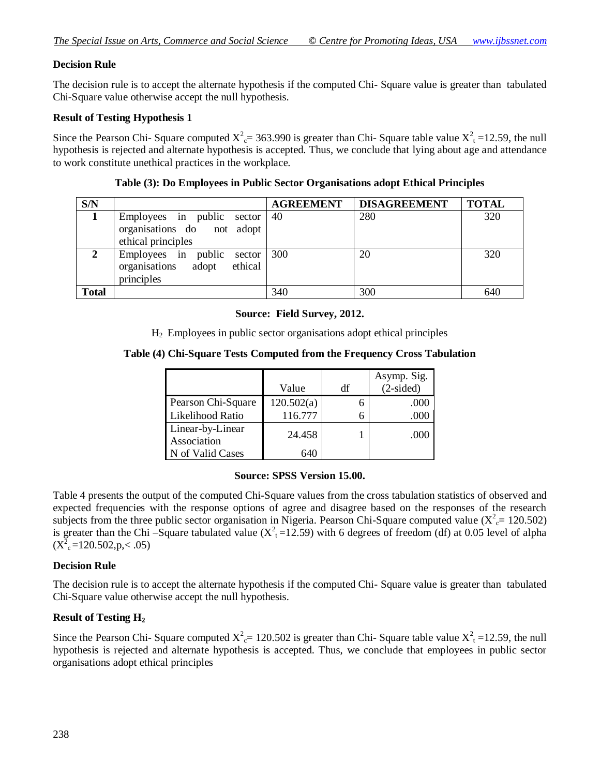### **Decision Rule**

The decision rule is to accept the alternate hypothesis if the computed Chi- Square value is greater than tabulated Chi-Square value otherwise accept the null hypothesis.

### **Result of Testing Hypothesis 1**

Since the Pearson Chi- Square computed  $X_c^2 = 363.990$  is greater than Chi- Square table value  $X_t^2 = 12.59$ , the null hypothesis is rejected and alternate hypothesis is accepted. Thus, we conclude that lying about age and attendance to work constitute unethical practices in the workplace.

| S/N          |                                                                                | <b>AGREEMENT</b> | <b>DISAGREEMENT</b> | <b>TOTAL</b> |
|--------------|--------------------------------------------------------------------------------|------------------|---------------------|--------------|
|              | Employees in public sector<br>organisations do not adopt<br>ethical principles | 40               | 280                 | 320          |
| 2            | Employees in public<br>sector<br>organisations adopt<br>ethical<br>principles  | 300              | 20                  | 320          |
| <b>Total</b> |                                                                                | 340              | 300                 | 640          |

#### **Table (3): Do Employees in Public Sector Organisations adopt Ethical Principles**

#### **Source: Field Survey, 2012.**

H2 Employees in public sector organisations adopt ethical principles

### **Table (4) Chi-Square Tests Computed from the Frequency Cross Tabulation**

|                    |            |    | Asymp. Sig. |
|--------------------|------------|----|-------------|
|                    | Value      | df | $(2-sided)$ |
| Pearson Chi-Square | 120.502(a) |    | .000        |
| Likelihood Ratio   | 116.777    |    | .000        |
| Linear-by-Linear   | 24.458     |    | .000        |
| Association        |            |    |             |
| N of Valid Cases   | 640        |    |             |

# **Source: SPSS Version 15.00.**

Table 4 presents the output of the computed Chi-Square values from the cross tabulation statistics of observed and expected frequencies with the response options of agree and disagree based on the responses of the research subjects from the three public sector organisation in Nigeria. Pearson Chi-Square computed value ( $X_c^2$  = 120.502) is greater than the Chi –Square tabulated value  $(X<sup>2</sup><sub>t</sub>=12.59)$  with 6 degrees of freedom (df) at 0.05 level of alpha  $(X<sup>2</sup><sub>c</sub>=120.502,p,< .05)$ 

### **Decision Rule**

The decision rule is to accept the alternate hypothesis if the computed Chi- Square value is greater than tabulated Chi-Square value otherwise accept the null hypothesis.

### **Result of Testing H<sup>2</sup>**

Since the Pearson Chi- Square computed  $X_c^2 = 120.502$  is greater than Chi- Square table value  $X_t^2 = 12.59$ , the null hypothesis is rejected and alternate hypothesis is accepted. Thus, we conclude that employees in public sector organisations adopt ethical principles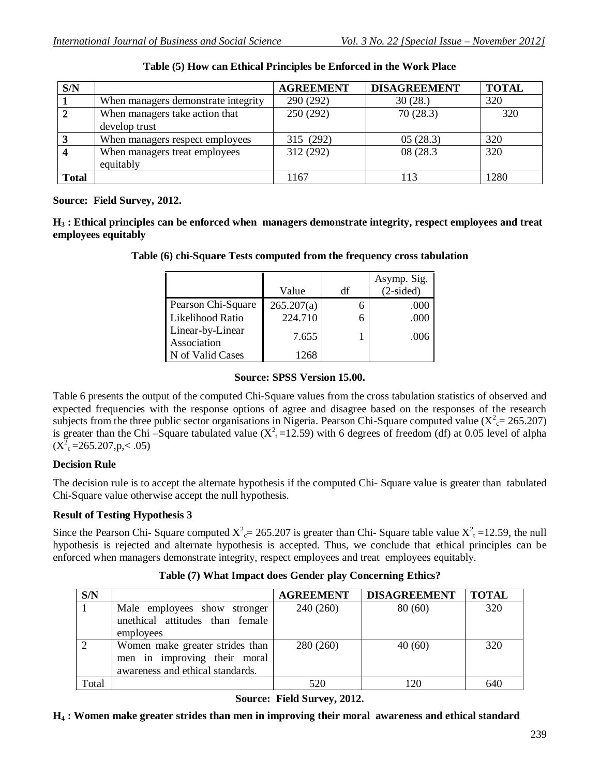| S/N          |                                     | <b>AGREEMENT</b> | <b>DISAGREEMENT</b> | <b>TOTAL</b> |
|--------------|-------------------------------------|------------------|---------------------|--------------|
|              | When managers demonstrate integrity | 290 (292)        | 30(28.)             | 320          |
|              | When managers take action that      | 250(292)         | 70(28.3)            | 320          |
|              | develop trust                       |                  |                     |              |
|              | When managers respect employees     | 315 (292)        | 05(28.3)            | 320          |
|              | When managers treat employees       | 312 (292)        | 08 (28.3)           | 320          |
|              | equitably                           |                  |                     |              |
| <b>Total</b> |                                     | 1167             | 113                 | 1280         |

### **Table (5) How can Ethical Principles be Enforced in the Work Place**

### **Source: Field Survey, 2012.**

**H<sup>3</sup> : Ethical principles can be enforced when managers demonstrate integrity, respect employees and treat employees equitably**

|  | Table (6) chi-Square Tests computed from the frequency cross tabulation |  |  |  |
|--|-------------------------------------------------------------------------|--|--|--|
|--|-------------------------------------------------------------------------|--|--|--|

|                                 |            |    | Asymp. Sig. |
|---------------------------------|------------|----|-------------|
|                                 | Value      | df | $(2-sided)$ |
| Pearson Chi-Square              | 265.207(a) | 6  | .000        |
| Likelihood Ratio                | 224.710    | 6  | .000        |
| Linear-by-Linear<br>Association | 7.655      |    | .006        |
| N of Valid Cases                | 1268       |    |             |

# **Source: SPSS Version 15.00.**

Table 6 presents the output of the computed Chi-Square values from the cross tabulation statistics of observed and expected frequencies with the response options of agree and disagree based on the responses of the research subjects from the three public sector organisations in Nigeria. Pearson Chi-Square computed value ( $X_c^2$  = 265.207) is greater than the Chi –Square tabulated value  $(X<sup>2</sup><sub>t</sub>=12.59)$  with 6 degrees of freedom (df) at 0.05 level of alpha  $(X^2_{c} = 265.207, p < .05)$ 

# **Decision Rule**

The decision rule is to accept the alternate hypothesis if the computed Chi- Square value is greater than tabulated Chi-Square value otherwise accept the null hypothesis.

# **Result of Testing Hypothesis 3**

Since the Pearson Chi- Square computed  $X_c^2 = 265.207$  is greater than Chi- Square table value  $X_t^2 = 12.59$ , the null hypothesis is rejected and alternate hypothesis is accepted. Thus, we conclude that ethical principles can be enforced when managers demonstrate integrity, respect employees and treat employees equitably.

| S/N   |                                                                                                     | <b>AGREEMENT</b> | <b>DISAGREEMENT</b> | <b>TOTAL</b> |
|-------|-----------------------------------------------------------------------------------------------------|------------------|---------------------|--------------|
|       | Male employees show stronger<br>unethical attitudes than female<br>employees                        | 240 (260)        | 80(60)              | 320          |
| 2     | Women make greater strides than<br>men in improving their moral<br>awareness and ethical standards. | 280 (260)        | 40(60)              | 320          |
| Total |                                                                                                     | 520              | 120                 | 64(          |

# **Table (7) What Impact does Gender play Concerning Ethics?**

**Source: Field Survey, 2012.**

**H<sup>4</sup> : Women make greater strides than men in improving their moral awareness and ethical standard**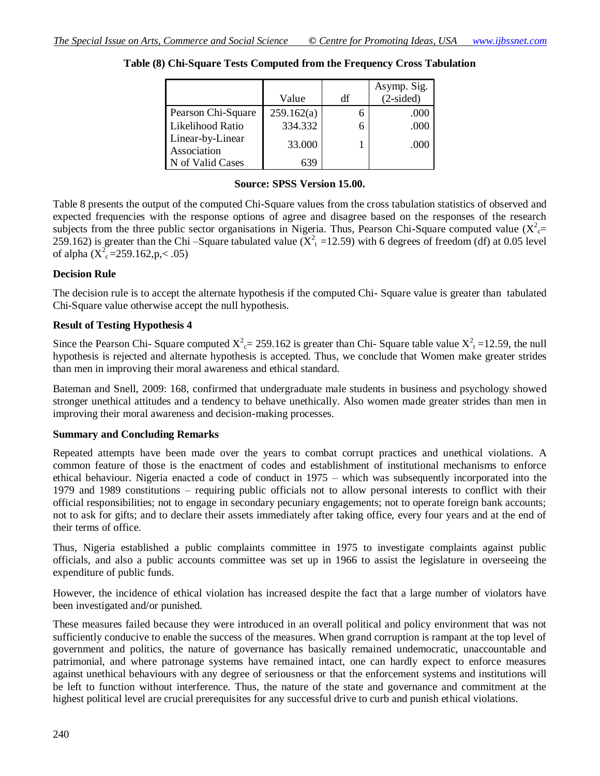|                                 | Value      | df | Asymp. Sig.<br>$(2-sided)$ |
|---------------------------------|------------|----|----------------------------|
|                                 |            |    |                            |
| Pearson Chi-Square              | 259.162(a) |    | .000                       |
| Likelihood Ratio                | 334.332    |    | .000                       |
| Linear-by-Linear<br>Association | 33.000     |    | .000                       |
| N of Valid Cases                | 639        |    |                            |

### **Table (8) Chi-Square Tests Computed from the Frequency Cross Tabulation**

#### **Source: SPSS Version 15.00.**

Table 8 presents the output of the computed Chi-Square values from the cross tabulation statistics of observed and expected frequencies with the response options of agree and disagree based on the responses of the research subjects from the three public sector organisations in Nigeria. Thus, Pearson Chi-Square computed value ( $X_c^2$ ) 259.162) is greater than the Chi –Square tabulated value  $(X<sup>2</sup><sub>t</sub> = 12.59)$  with 6 degrees of freedom (df) at 0.05 level of alpha  $(X_{c}^{2} = 259.162, p < .05)$ 

#### **Decision Rule**

The decision rule is to accept the alternate hypothesis if the computed Chi- Square value is greater than tabulated Chi-Square value otherwise accept the null hypothesis.

### **Result of Testing Hypothesis 4**

Since the Pearson Chi- Square computed  $X_c^2 = 259.162$  is greater than Chi- Square table value  $X_t^2 = 12.59$ , the null hypothesis is rejected and alternate hypothesis is accepted. Thus, we conclude that Women make greater strides than men in improving their moral awareness and ethical standard.

Bateman and Snell, 2009: 168, confirmed that undergraduate male students in business and psychology showed stronger unethical attitudes and a tendency to behave unethically. Also women made greater strides than men in improving their moral awareness and decision-making processes.

### **Summary and Concluding Remarks**

Repeated attempts have been made over the years to combat corrupt practices and unethical violations. A common feature of those is the enactment of codes and establishment of institutional mechanisms to enforce ethical behaviour. Nigeria enacted a code of conduct in 1975 – which was subsequently incorporated into the 1979 and 1989 constitutions – requiring public officials not to allow personal interests to conflict with their official responsibilities; not to engage in secondary pecuniary engagements; not to operate foreign bank accounts; not to ask for gifts; and to declare their assets immediately after taking office, every four years and at the end of their terms of office.

Thus, Nigeria established a public complaints committee in 1975 to investigate complaints against public officials, and also a public accounts committee was set up in 1966 to assist the legislature in overseeing the expenditure of public funds.

However, the incidence of ethical violation has increased despite the fact that a large number of violators have been investigated and/or punished.

These measures failed because they were introduced in an overall political and policy environment that was not sufficiently conducive to enable the success of the measures. When grand corruption is rampant at the top level of government and politics, the nature of governance has basically remained undemocratic, unaccountable and patrimonial, and where patronage systems have remained intact, one can hardly expect to enforce measures against unethical behaviours with any degree of seriousness or that the enforcement systems and institutions will be left to function without interference. Thus, the nature of the state and governance and commitment at the highest political level are crucial prerequisites for any successful drive to curb and punish ethical violations.